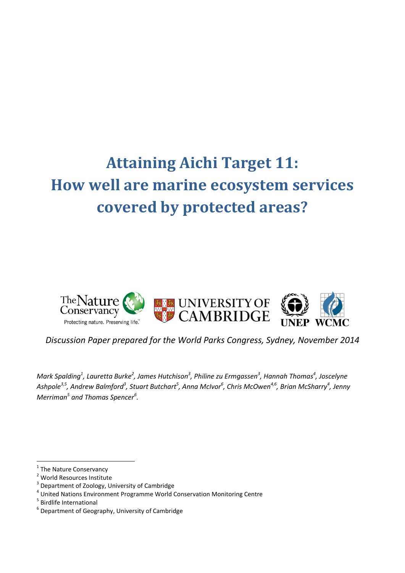# **Attaining Aichi Target 11: How well are marine ecosystem services covered by protected areas?**



*Discussion Paper prepared for the World Parks Congress, Sydney, November 2014*

*Mark Spalding<sup>1</sup> , Lauretta Burke<sup>2</sup> , James Hutchison<sup>3</sup> , Philine zu Ermgassen<sup>3</sup> , Hannah Thomas<sup>4</sup> , Joscelyne*  Ashpole<sup>3,5</sup> , Andrew Balmford<sup>3</sup> , Stuart Butchart<sup>5</sup> , Anna McIvor<sup>6</sup> , Chris McOwen<sup>4,6</sup> , Brian McSharry<sup>4</sup> , Jenny *Merriman<sup>5</sup> and Thomas Spencer<sup>6</sup> .* 

1

<sup>&</sup>lt;sup>1</sup> The Nature Conservancy

<sup>2</sup> World Resources Institute

<sup>&</sup>lt;sup>3</sup> Department of Zoology, University of Cambridge

<sup>&</sup>lt;sup>4</sup> United Nations Environment Programme World Conservation Monitoring Centre

<sup>5</sup> Birdlife International

 $^6$  Department of Geography, University of Cambridge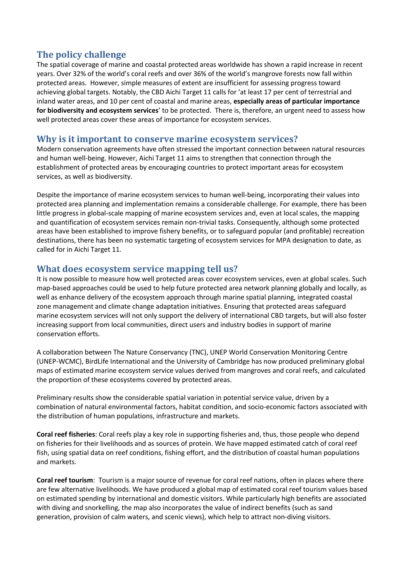# **The policy challenge**

The spatial coverage of marine and coastal protected areas worldwide has shown a rapid increase in recent years. Over 32% of the world's coral reefs and over 36% of the world's mangrove forests now fall within protected areas. However, simple measures of extent are insufficient for assessing progress toward achieving global targets. Notably, the CBD Aichi Target 11 calls for 'at least 17 per cent of terrestrial and inland water areas, and 10 per cent of coastal and marine areas, **especially areas of particular importance for biodiversity and ecosystem services**' to be protected. There is, therefore, an urgent need to assess how well protected areas cover these areas of importance for ecosystem services.

## **Why is it important to conserve marine ecosystem services?**

Modern conservation agreements have often stressed the important connection between natural resources and human well-being. However, Aichi Target 11 aims to strengthen that connection through the establishment of protected areas by encouraging countries to protect important areas for ecosystem services, as well as biodiversity.

Despite the importance of marine ecosystem services to human well-being, incorporating their values into protected area planning and implementation remains a considerable challenge. For example, there has been little progress in global-scale mapping of marine ecosystem services and, even at local scales, the mapping and quantification of ecosystem services remain non-trivial tasks. Consequently, although some protected areas have been established to improve fishery benefits, or to safeguard popular (and profitable) recreation destinations, there has been no systematic targeting of ecosystem services for MPA designation to date, as called for in Aichi Target 11.

## **What does ecosystem service mapping tell us?**

It is now possible to measure how well protected areas cover ecosystem services, even at global scales. Such map-based approaches could be used to help future protected area network planning globally and locally, as well as enhance delivery of the ecosystem approach through marine spatial planning, integrated coastal zone management and climate change adaptation initiatives. Ensuring that protected areas safeguard marine ecosystem services will not only support the delivery of international CBD targets, but will also foster increasing support from local communities, direct users and industry bodies in support of marine conservation efforts.

A collaboration between The Nature Conservancy (TNC), UNEP World Conservation Monitoring Centre (UNEP-WCMC), BirdLife International and the University of Cambridge has now produced preliminary global maps of estimated marine ecosystem service values derived from mangroves and coral reefs, and calculated the proportion of these ecosystems covered by protected areas.

Preliminary results show the considerable spatial variation in potential service value, driven by a combination of natural environmental factors, habitat condition, and socio-economic factors associated with the distribution of human populations, infrastructure and markets.

**Coral reef fisheries**: Coral reefs play a key role in supporting fisheries and, thus, those people who depend on fisheries for their livelihoods and as sources of protein. We have mapped estimated catch of coral reef fish, using spatial data on reef conditions, fishing effort, and the distribution of coastal human populations and markets.

**Coral reef tourism**: Tourism is a major source of revenue for coral reef nations, often in places where there are few alternative livelihoods. We have produced a global map of estimated coral reef tourism values based on estimated spending by international and domestic visitors. While particularly high benefits are associated with diving and snorkelling, the map also incorporates the value of indirect benefits (such as sand generation, provision of calm waters, and scenic views), which help to attract non-diving visitors.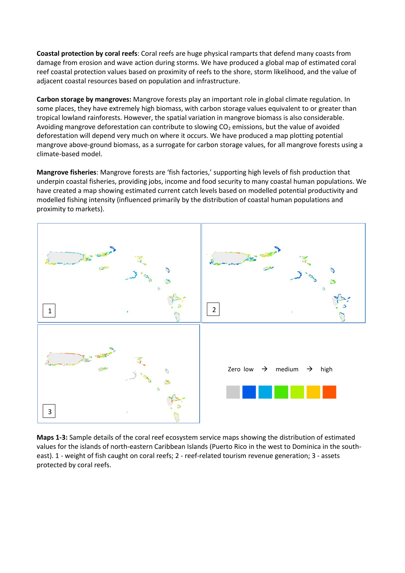**Coastal protection by coral reefs**: Coral reefs are huge physical ramparts that defend many coasts from damage from erosion and wave action during storms. We have produced a global map of estimated coral reef coastal protection values based on proximity of reefs to the shore, storm likelihood, and the value of adjacent coastal resources based on population and infrastructure.

**Carbon storage by mangroves:** Mangrove forests play an important role in global climate regulation. In some places, they have extremely high biomass, with carbon storage values equivalent to or greater than tropical lowland rainforests. However, the spatial variation in mangrove biomass is also considerable. Avoiding mangrove deforestation can contribute to slowing  $CO<sub>2</sub>$  emissions, but the value of avoided deforestation will depend very much on where it occurs. We have produced a map plotting potential mangrove above-ground biomass, as a surrogate for carbon storage values, for all mangrove forests using a climate-based model.

**Mangrove fisheries**: Mangrove forests are 'fish factories,' supporting high levels of fish production that underpin coastal fisheries, providing jobs, income and food security to many coastal human populations. We have created a map showing estimated current catch levels based on modelled potential productivity and modelled fishing intensity (influenced primarily by the distribution of coastal human populations and proximity to markets).



**Maps 1-3:** Sample details of the coral reef ecosystem service maps showing the distribution of estimated values for the islands of north-eastern Caribbean Islands (Puerto Rico in the west to Dominica in the southeast). 1 - weight of fish caught on coral reefs; 2 - reef-related tourism revenue generation; 3 - assets protected by coral reefs.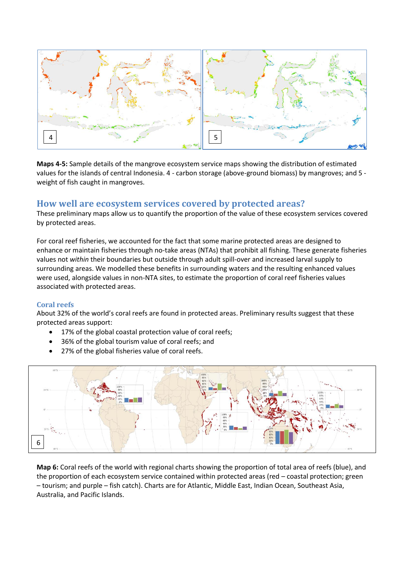

**Maps 4-5:** Sample details of the mangrove ecosystem service maps showing the distribution of estimated values for the islands of central Indonesia. 4 - carbon storage (above-ground biomass) by mangroves; and 5 weight of fish caught in mangroves.

## **How well are ecosystem services covered by protected areas?**

These preliminary maps allow us to quantify the proportion of the value of these ecosystem services covered by protected areas.

For coral reef fisheries, we accounted for the fact that some marine protected areas are designed to enhance or maintain fisheries through no-take areas (NTAs) that prohibit all fishing. These generate fisheries values not *within* their boundaries but outside through adult spill-over and increased larval supply to surrounding areas. We modelled these benefits in surrounding waters and the resulting enhanced values were used, alongside values in non-NTA sites, to estimate the proportion of coral reef fisheries values associated with protected areas.

## **Coral reefs**

About 32% of the world's coral reefs are found in protected areas. Preliminary results suggest that these protected areas support:

- 17% of the global coastal protection value of coral reefs;
- 36% of the global tourism value of coral reefs; and
- 27% of the global fisheries value of coral reefs.

![](_page_3_Figure_10.jpeg)

**Map 6:** Coral reefs of the world with regional charts showing the proportion of total area of reefs (blue), and the proportion of each ecosystem service contained within protected areas (red – coastal protection; green – tourism; and purple – fish catch). Charts are for Atlantic, Middle East, Indian Ocean, Southeast Asia, Australia, and Pacific Islands.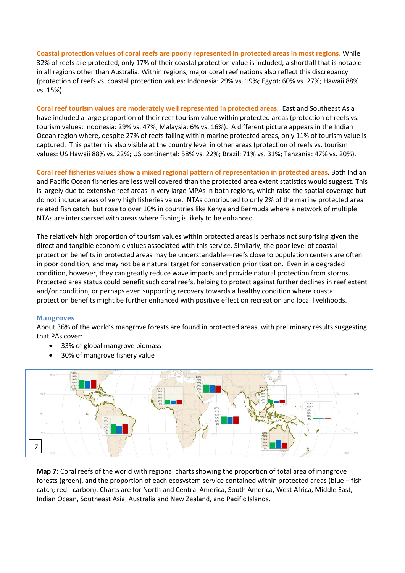**Coastal protection values of coral reefs are poorly represented in protected areas in most regions.** While 32% of reefs are protected, only 17% of their coastal protection value is included, a shortfall that is notable in all regions other than Australia. Within regions, major coral reef nations also reflect this discrepancy (protection of reefs vs. coastal protection values: Indonesia: 29% vs. 19%; Egypt: 60% vs. 27%; Hawaii 88% vs. 15%).

**Coral reef tourism values are moderately well represented in protected areas.** East and Southeast Asia have included a large proportion of their reef tourism value within protected areas (protection of reefs vs. tourism values: Indonesia: 29% vs. 47%; Malaysia: 6% vs. 16%). A different picture appears in the Indian Ocean region where, despite 27% of reefs falling within marine protected areas, only 11% of tourism value is captured. This pattern is also visible at the country level in other areas (protection of reefs vs. tourism values: US Hawaii 88% vs. 22%; US continental: 58% vs. 22%; Brazil: 71% vs. 31%; Tanzania: 47% vs. 20%).

**Coral reef fisheries values show a mixed regional pattern of representation in protected areas**. Both Indian and Pacific Ocean fisheries are less well covered than the protected area extent statistics would suggest. This is largely due to extensive reef areas in very large MPAs in both regions, which raise the spatial coverage but do not include areas of very high fisheries value. NTAs contributed to only 2% of the marine protected area related fish catch, but rose to over 10% in countries like Kenya and Bermuda where a network of multiple NTAs are interspersed with areas where fishing is likely to be enhanced.

The relatively high proportion of tourism values within protected areas is perhaps not surprising given the direct and tangible economic values associated with this service. Similarly, the poor level of coastal protection benefits in protected areas may be understandable—reefs close to population centers are often in poor condition, and may not be a natural target for conservation prioritization. Even in a degraded condition, however, they can greatly reduce wave impacts and provide natural protection from storms. Protected area status could benefit such coral reefs, helping to protect against further declines in reef extent and/or condition, or perhaps even supporting recovery towards a healthy condition where coastal protection benefits might be further enhanced with positive effect on recreation and local livelihoods.

## **Mangroves**

About 36% of the world's mangrove forests are found in protected areas, with preliminary results suggesting that PAs cover:

- 33% of global mangrove biomass
- 30% of mangrove fishery value

![](_page_4_Figure_8.jpeg)

**Map 7:** Coral reefs of the world with regional charts showing the proportion of total area of mangrove forests (green), and the proportion of each ecosystem service contained within protected areas (blue – fish catch; red - carbon). Charts are for North and Central America, South America, West Africa, Middle East, Indian Ocean, Southeast Asia, Australia and New Zealand, and Pacific Islands.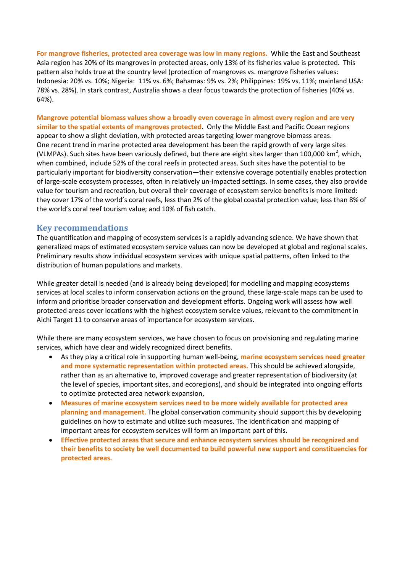**For mangrove fisheries, protected area coverage was low in many regions.** While the East and Southeast Asia region has 20% of its mangroves in protected areas, only 13% of its fisheries value is protected. This pattern also holds true at the country level (protection of mangroves vs. mangrove fisheries values: Indonesia: 20% vs. 10%; Nigeria: 11% vs. 6%; Bahamas: 9% vs. 2%; Philippines: 19% vs. 11%; mainland USA: 78% vs. 28%). In stark contrast, Australia shows a clear focus towards the protection of fisheries (40% vs. 64%).

**Mangrove potential biomass values show a broadly even coverage in almost every region and are very similar to the spatial extents of mangroves protected**. Only the Middle East and Pacific Ocean regions appear to show a slight deviation, with protected areas targeting lower mangrove biomass areas. One recent trend in marine protected area development has been the rapid growth of very large sites (VLMPAs). Such sites have been variously defined, but there are eight sites larger than 100,000 km<sup>2</sup>, which, when combined, include 52% of the coral reefs in protected areas. Such sites have the potential to be particularly important for biodiversity conservation—their extensive coverage potentially enables protection of large-scale ecosystem processes, often in relatively un-impacted settings. In some cases, they also provide value for tourism and recreation, but overall their coverage of ecosystem service benefits is more limited: they cover 17% of the world's coral reefs, less than 2% of the global coastal protection value; less than 8% of the world's coral reef tourism value; and 10% of fish catch.

#### **Key recommendations**

The quantification and mapping of ecosystem services is a rapidly advancing science. We have shown that generalized maps of estimated ecosystem service values can now be developed at global and regional scales. Preliminary results show individual ecosystem services with unique spatial patterns, often linked to the distribution of human populations and markets.

While greater detail is needed (and is already being developed) for modelling and mapping ecosystems services at local scales to inform conservation actions on the ground, these large-scale maps can be used to inform and prioritise broader conservation and development efforts. Ongoing work will assess how well protected areas cover locations with the highest ecosystem service values, relevant to the commitment in Aichi Target 11 to conserve areas of importance for ecosystem services.

While there are many ecosystem services, we have chosen to focus on provisioning and regulating marine services, which have clear and widely recognized direct benefits.

- As they play a critical role in supporting human well-being, **marine ecosystem services need greater and more systematic representation within protected areas.** This should be achieved alongside, rather than as an alternative to, improved coverage and greater representation of biodiversity (at the level of species, important sites, and ecoregions), and should be integrated into ongoing efforts to optimize protected area network expansion,
- **Measures of marine ecosystem services need to be more widely available for protected area planning and management.** The global conservation community should support this by developing guidelines on how to estimate and utilize such measures. The identification and mapping of important areas for ecosystem services will form an important part of this.
- **Effective protected areas that secure and enhance ecosystem services should be recognized and their benefits to society be well documented to build powerful new support and constituencies for protected areas.**